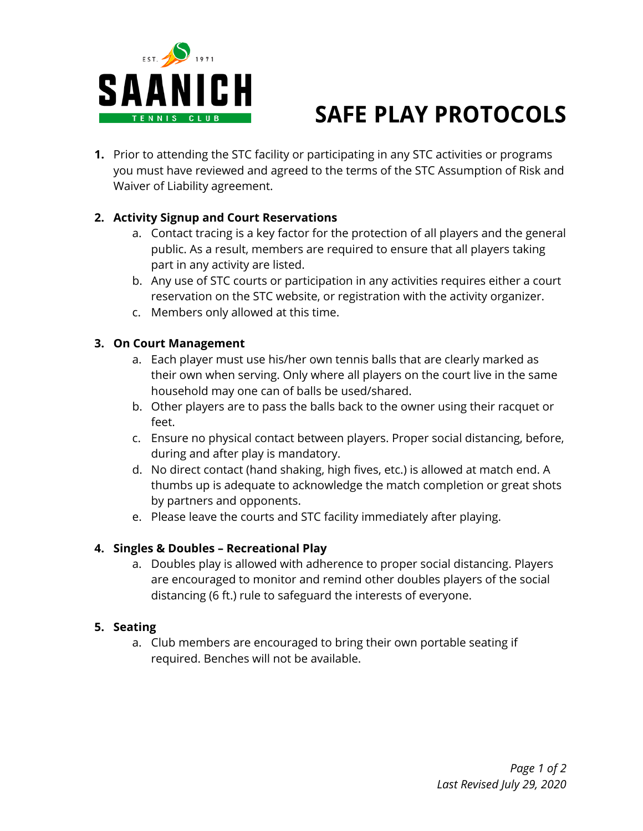

# **SAFE PLAY PROTOCOLS**

**1.** Prior to attending the STC facility or participating in any STC activities or programs you must have reviewed and agreed to the terms of the STC Assumption of Risk and Waiver of Liability agreement.

## **2. Activity Signup and Court Reservations**

- a. Contact tracing is a key factor for the protection of all players and the general public. As a result, members are required to ensure that all players taking part in any activity are listed.
- b. Any use of STC courts or participation in any activities requires either a court reservation on the STC website, or registration with the activity organizer.
- c. Members only allowed at this time.

## **3. On Court Management**

- a. Each player must use his/her own tennis balls that are clearly marked as their own when serving. Only where all players on the court live in the same household may one can of balls be used/shared.
- b. Other players are to pass the balls back to the owner using their racquet or feet.
- c. Ensure no physical contact between players. Proper social distancing, before, during and after play is mandatory.
- d. No direct contact (hand shaking, high fives, etc.) is allowed at match end. A thumbs up is adequate to acknowledge the match completion or great shots by partners and opponents.
- e. Please leave the courts and STC facility immediately after playing.

#### **4. Singles & Doubles – Recreational Play**

a. Doubles play is allowed with adherence to proper social distancing. Players are encouraged to monitor and remind other doubles players of the social distancing (6 ft.) rule to safeguard the interests of everyone.

#### **5. Seating**

a. Club members are encouraged to bring their own portable seating if required. Benches will not be available.